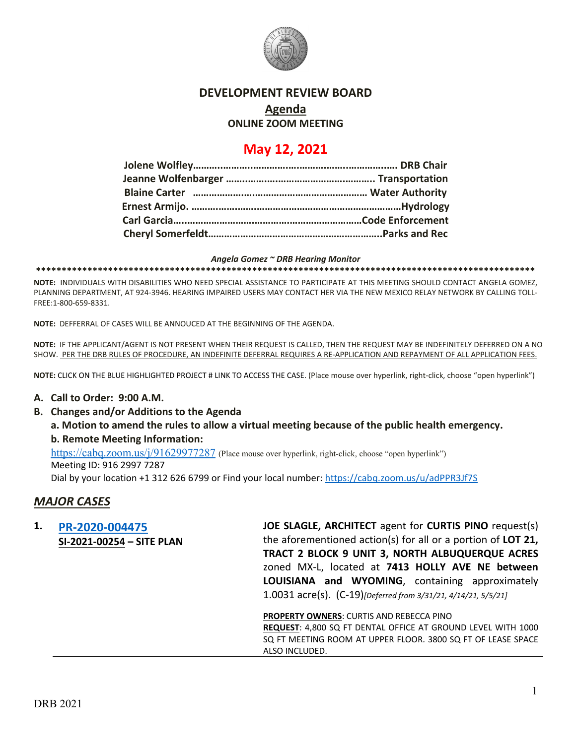

### **DEVELOPMENT REVIEW BOARD**

# **Agenda**

### **ONLINE ZOOM MEETING**

## **May 12, 2021**

#### *Angela Gomez ~ DRB Hearing Monitor*

**\*\*\*\*\*\*\*\*\*\*\*\*\*\*\*\*\*\*\*\*\*\*\*\*\*\*\*\*\*\*\*\*\*\*\*\*\*\*\*\*\*\*\*\*\*\*\*\*\*\*\*\*\*\*\*\*\*\*\*\*\*\*\*\*\*\*\*\*\*\*\*\*\*\*\*\*\*\*\*\*\*\*\*\*\*\*\*\*\*\*\*\*\*\*\*\*\***

**NOTE:** INDIVIDUALS WITH DISABILITIES WHO NEED SPECIAL ASSISTANCE TO PARTICIPATE AT THIS MEETING SHOULD CONTACT ANGELA GOMEZ, PLANNING DEPARTMENT, AT 924-3946. HEARING IMPAIRED USERS MAY CONTACT HER VIA THE NEW MEXICO RELAY NETWORK BY CALLING TOLL-FREE:1-800-659-8331.

**NOTE:** DEFFERRAL OF CASES WILL BE ANNOUCED AT THE BEGINNING OF THE AGENDA.

**NOTE:** IF THE APPLICANT/AGENT IS NOT PRESENT WHEN THEIR REQUEST IS CALLED, THEN THE REQUEST MAY BE INDEFINITELY DEFERRED ON A NO SHOW. PER THE DRB RULES OF PROCEDURE, AN INDEFINITE DEFERRAL REQUIRES A RE-APPLICATION AND REPAYMENT OF ALL APPLICATION FEES.

**NOTE:** CLICK ON THE BLUE HIGHLIGHTED PROJECT # LINK TO ACCESS THE CASE. (Place mouse over hyperlink, right-click, choose "open hyperlink")

### **A. Call to Order: 9:00 A.M.**

**B. Changes and/or Additions to the Agenda**

**a. Motion to amend the rules to allow a virtual meeting because of the public health emergency. b. Remote Meeting Information:** 

<https://cabq.zoom.us/j/91629977287> (Place mouse over hyperlink, right-click, choose "open hyperlink")

Meeting ID: 916 2997 7287

Dial by your location +1 312 626 6799 or Find your local number[: https://cabq.zoom.us/u/adPPR3Jf7S](https://cabq.zoom.us/u/adPPR3Jf7S)

### *MAJOR CASES*

| 1. | PR-2020-004475            | JOE SLAGLE, ARCHITECT agent for CURTIS PINO request(s)              |
|----|---------------------------|---------------------------------------------------------------------|
|    | SI-2021-00254 - SITE PLAN | the aforementioned action(s) for all or a portion of LOT 21,        |
|    |                           | TRACT 2 BLOCK 9 UNIT 3, NORTH ALBUQUERQUE ACRES                     |
|    |                           | zoned MX-L, located at 7413 HOLLY AVE NE between                    |
|    |                           | LOUISIANA and WYOMING, containing approximately                     |
|    |                           | 1.0031 acre(s). (C-19) [Deferred from 3/31/21, 4/14/21, 5/5/21]     |
|    |                           | <b>PROPERTY OWNERS: CURTIS AND REBECCA PINO</b>                     |
|    |                           | <b>REQUEST: 4.800 SO FT DENTAL OFFICE AT GROUND LEVEL WITH 1000</b> |

**REQUEST**: 4,800 SQ FT DENTAL OFFICE AT GROUND LEVEL WITH 1000 SQ FT MEETING ROOM AT UPPER FLOOR. 3800 SQ FT OF LEASE SPACE ALSO INCLUDED.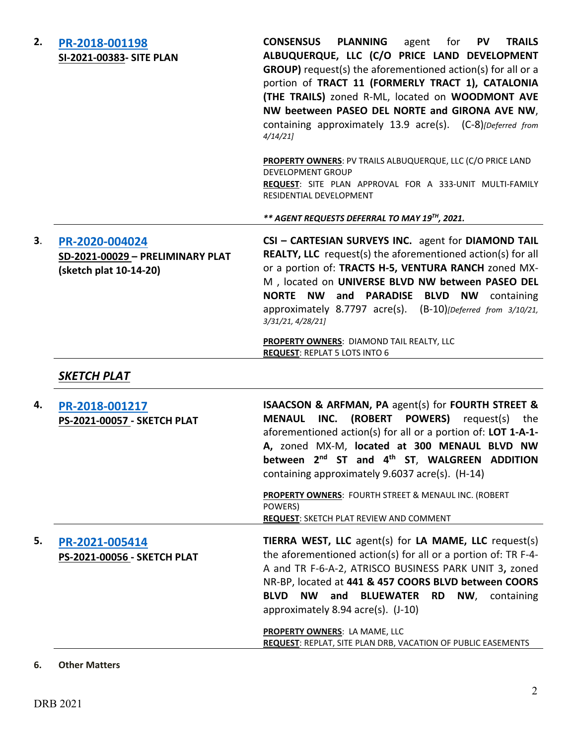| 2. | PR-2018-001198<br>SI-2021-00383- SITE PLAN                                   | <b>CONSENSUS</b><br><b>PLANNING</b><br><b>PV</b><br><b>TRAILS</b><br>agent<br>for<br>ALBUQUERQUE, LLC (C/O PRICE LAND DEVELOPMENT<br><b>GROUP)</b> request(s) the aforementioned action(s) for all or a<br>portion of TRACT 11 (FORMERLY TRACT 1), CATALONIA<br>(THE TRAILS) zoned R-ML, located on WOODMONT AVE<br>NW beetween PASEO DEL NORTE and GIRONA AVE NW,<br>containing approximately 13.9 acre(s). (C-8)[Deferred from<br>4/14/21 |
|----|------------------------------------------------------------------------------|---------------------------------------------------------------------------------------------------------------------------------------------------------------------------------------------------------------------------------------------------------------------------------------------------------------------------------------------------------------------------------------------------------------------------------------------|
|    |                                                                              | PROPERTY OWNERS: PV TRAILS ALBUQUERQUE, LLC (C/O PRICE LAND<br><b>DEVELOPMENT GROUP</b><br>REQUEST: SITE PLAN APPROVAL FOR A 333-UNIT MULTI-FAMILY<br>RESIDENTIAL DEVELOPMENT                                                                                                                                                                                                                                                               |
|    |                                                                              | ** AGENT REQUESTS DEFERRAL TO MAY 19TH, 2021.                                                                                                                                                                                                                                                                                                                                                                                               |
| 3. | PR-2020-004024<br>SD-2021-00029 - PRELIMINARY PLAT<br>(sketch plat 10-14-20) | CSI - CARTESIAN SURVEYS INC. agent for DIAMOND TAIL<br><b>REALTY, LLC</b> request(s) the aforementioned action(s) for all<br>or a portion of: TRACTS H-5, VENTURA RANCH zoned MX-<br>M , located on UNIVERSE BLVD NW between PASEO DEL<br><b>NORTE NW</b><br>and<br><b>PARADISE</b><br><b>BLVD</b><br><b>NW</b><br>containing<br>approximately 8.7797 acre(s). (B-10)[Deferred from 3/10/21,<br>3/31/21, 4/28/21]                           |
|    |                                                                              | PROPERTY OWNERS: DIAMOND TAIL REALTY, LLC<br><b>REQUEST: REPLAT 5 LOTS INTO 6</b>                                                                                                                                                                                                                                                                                                                                                           |
|    | <b>SKETCH PLAT</b>                                                           |                                                                                                                                                                                                                                                                                                                                                                                                                                             |
| 4. | PR-2018-001217<br><b>PS-2021-00057 - SKETCH PLAT</b>                         | <b>ISAACSON &amp; ARFMAN, PA agent(s) for FOURTH STREET &amp;</b><br>INC.<br>(ROBERT<br><b>POWERS)</b><br><b>MENAUL</b><br>request(s)<br>the<br>aforementioned action(s) for all or a portion of: LOT 1-A-1-<br>A, zoned MX-M, located at 300 MENAUL BLVD NW<br>between 2 <sup>nd</sup> ST and 4 <sup>th</sup> ST, WALGREEN ADDITION<br>containing approximately 9.6037 acre(s). (H-14)                                                     |
|    |                                                                              | <b>PROPERTY OWNERS: FOURTH STREET &amp; MENAUL INC. (ROBERT</b><br>POWERS)<br><b>REQUEST: SKETCH PLAT REVIEW AND COMMENT</b>                                                                                                                                                                                                                                                                                                                |
| 5. | PR-2021-005414<br>PS-2021-00056 - SKETCH PLAT                                | TIERRA WEST, LLC agent(s) for LA MAME, LLC request(s)<br>the aforementioned action(s) for all or a portion of: TR F-4-<br>A and TR F-6-A-2, ATRISCO BUSINESS PARK UNIT 3, zoned<br>NR-BP, located at 441 & 457 COORS BLVD between COORS<br><b>BLVD</b><br><b>NW</b><br>and BLUEWATER RD NW, containing<br>approximately 8.94 acre(s). (J-10)                                                                                                |
|    |                                                                              | PROPERTY OWNERS: LA MAME, LLC<br><b>REQUEST: REPLAT, SITE PLAN DRB, VACATION OF PUBLIC EASEMENTS</b>                                                                                                                                                                                                                                                                                                                                        |
|    |                                                                              |                                                                                                                                                                                                                                                                                                                                                                                                                                             |

### **6. Other Matters**